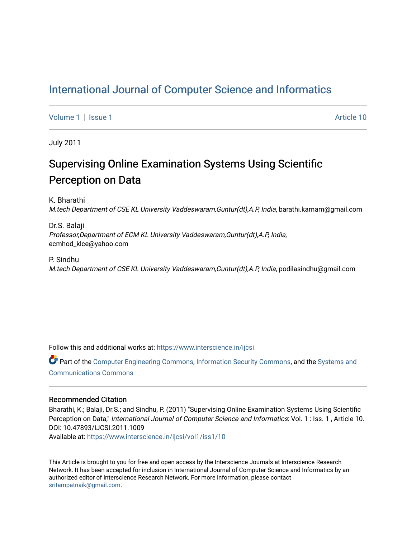## [International Journal of Computer Science and Informatics](https://www.interscience.in/ijcsi)

[Volume 1](https://www.interscience.in/ijcsi/vol1) | [Issue 1](https://www.interscience.in/ijcsi/vol1/iss1) Article 10

July 2011

# Supervising Online Examination Systems Using Scientific Perception on Data

K. Bharathi M.tech Department of CSE KL University Vaddeswaram,Guntur(dt),A.P, India, barathi.karnam@gmail.com

Dr.S. Balaji Professor,Department of ECM KL University Vaddeswaram,Guntur(dt),A.P, India, ecmhod\_klce@yahoo.com

P. Sindhu M.tech Department of CSE KL University Vaddeswaram,Guntur(dt),A.P, India, podilasindhu@gmail.com

Follow this and additional works at: [https://www.interscience.in/ijcsi](https://www.interscience.in/ijcsi?utm_source=www.interscience.in%2Fijcsi%2Fvol1%2Fiss1%2F10&utm_medium=PDF&utm_campaign=PDFCoverPages)

Part of the [Computer Engineering Commons,](http://network.bepress.com/hgg/discipline/258?utm_source=www.interscience.in%2Fijcsi%2Fvol1%2Fiss1%2F10&utm_medium=PDF&utm_campaign=PDFCoverPages) [Information Security Commons,](http://network.bepress.com/hgg/discipline/1247?utm_source=www.interscience.in%2Fijcsi%2Fvol1%2Fiss1%2F10&utm_medium=PDF&utm_campaign=PDFCoverPages) and the [Systems and](http://network.bepress.com/hgg/discipline/276?utm_source=www.interscience.in%2Fijcsi%2Fvol1%2Fiss1%2F10&utm_medium=PDF&utm_campaign=PDFCoverPages) [Communications Commons](http://network.bepress.com/hgg/discipline/276?utm_source=www.interscience.in%2Fijcsi%2Fvol1%2Fiss1%2F10&utm_medium=PDF&utm_campaign=PDFCoverPages) 

### Recommended Citation

Bharathi, K.; Balaji, Dr.S.; and Sindhu, P. (2011) "Supervising Online Examination Systems Using Scientific Perception on Data," International Journal of Computer Science and Informatics: Vol. 1 : Iss. 1 , Article 10. DOI: 10.47893/IJCSI.2011.1009 Available at: [https://www.interscience.in/ijcsi/vol1/iss1/10](https://www.interscience.in/ijcsi/vol1/iss1/10?utm_source=www.interscience.in%2Fijcsi%2Fvol1%2Fiss1%2F10&utm_medium=PDF&utm_campaign=PDFCoverPages) 

This Article is brought to you for free and open access by the Interscience Journals at Interscience Research Network. It has been accepted for inclusion in International Journal of Computer Science and Informatics by an authorized editor of Interscience Research Network. For more information, please contact [sritampatnaik@gmail.com](mailto:sritampatnaik@gmail.com).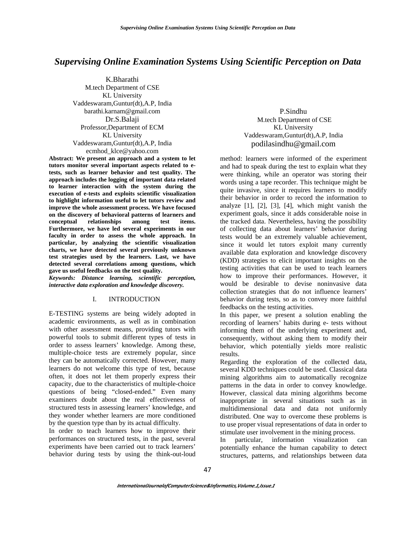## *Supervising Online Examination Systems Using Scientific Perception on Data*

K.Bharathi M.tech Department of CSE KL University Vaddeswaram,Guntur(dt),A.P, India barathi.karnam@gmail.com Dr.S.Balaji Professor,Department of ECM KL University Vaddeswaram,Guntur(dt),A.P, India ecmhod\_klce@yahoo.com

**Abstract: We present an approach and a system to let tutors monitor several important aspects related to etests, such as learner behavior and test quality. The approach includes the logging of important data related to learner interaction with the system during the execution of e-tests and exploits scientific visualization to highlight information useful to let tutors review and improve the whole assessment process. We have focused on the discovery of behavioral patterns of learners and conceptual relationships among test items. Furthermore, we have led several experiments in our faculty in order to assess the whole approach. In particular, by analyzing the scientific visualization charts, we have detected several previously unknown test strategies used by the learners. Last, we have detected several correlations among questions, which gave us useful feedbacks on the test quality.** 

*Keywords: Distance learning, scientific perception, interactive data exploration and knowledge discovery.* 

#### I. INTRODUCTION

E-TESTING systems are being widely adopted in academic environments, as well as in combination with other assessment means, providing tutors with powerful tools to submit different types of tests in order to assess learners' knowledge. Among these, multiple-choice tests are extremely popular, since they can be automatically corrected. However, many learners do not welcome this type of test, because often, it does not let them properly express their capacity, due to the characteristics of multiple-choice questions of being "closed-ended." Even many examiners doubt about the real effectiveness of structured tests in assessing learners' knowledge, and they wonder whether learners are more conditioned by the question type than by its actual difficulty.

In order to teach learners how to improve their performances on structured tests, in the past, several experiments have been carried out to track learners' behavior during tests by using the think-out-loud

P.Sindhu M.tech Department of CSE KL University Vaddeswaram,Guntur(dt),A.P, India podilasindhu@gmail.com

method: learners were informed of the experiment and had to speak during the test to explain what they were thinking, while an operator was storing their words using a tape recorder. This technique might be quite invasive, since it requires learners to modify their behavior in order to record the information to analyze [1], [2], [3], [4], which might vanish the experiment goals, since it adds considerable noise in the tracked data. Nevertheless, having the possibility of collecting data about learners' behavior during tests would be an extremely valuable achievement, since it would let tutors exploit many currently available data exploration and knowledge discovery (KDD) strategies to elicit important insights on the testing activities that can be used to teach learners how to improve their performances. However, it would be desirable to devise noninvasive data collection strategies that do not influence learners' behavior during tests, so as to convey more faithful feedbacks on the testing activities.

In this paper, we present a solution enabling the recording of learners' habits during e- tests without informing them of the underlying experiment and, consequently, without asking them to modify their behavior, which potentially yields more realistic results.

Regarding the exploration of the collected data, several KDD techniques could be used. Classical data mining algorithms aim to automatically recognize patterns in the data in order to convey knowledge. However, classical data mining algorithms become inappropriate in several situations such as in multidimensional data and data not uniformly distributed. One way to overcome these problems is to use proper visual representations of data in order to stimulate user involvement in the mining process.

In particular, information visualization can potentially enhance the human capability to detect structures, patterns, and relationships between data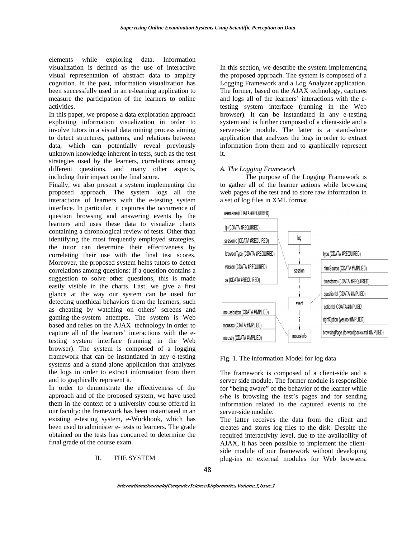elements while exploring data. Information visualization is defined as the use of interactive visual representation of abstract data to amplify cognition. In the past, information visualization has been successfully used in an e-learning application to measure the participation of the learners to online activities.

In this paper, we propose a data exploration approach exploiting information visualization in order to involve tutors in a visual data mining process aiming to detect structures, patterns, and relations between data, which can potentially reveal previously unknown knowledge inherent in tests, such as the test strategies used by the learners, correlations among different questions, and many other aspects, including their impact on the final score.

Finally, we also present a system implementing the proposed approach. The system logs all the interactions of learners with the e-testing system interface. In particular, it captures the occurrence of question browsing and answering events by the learners and uses these data to visualize charts containing a chronological review of tests. Other than identifying the most frequently employed strategies, the tutor can determine their effectiveness by correlating their use with the final test scores. Moreover, the proposed system helps tutors to detect correlations among questions: if a question contains a suggestion to solve other questions, this is made easily visible in the charts. Last, we give a first glance at the way our system can be used for detecting unethical behaviors from the learners, such as cheating by watching on others' screens and gaming-the-system attempts. The system is Web based and relies on the AJAX technology in order to capture all of the learners' interactions with the etesting system interface (running in the Web browser). The system is composed of a logging framework that can be instantiated in any e-testing systems and a stand-alone application that analyzes the logs in order to extract information from them and to graphically represent it.

In order to demonstrate the effectiveness of the approach and of the proposed system, we have used them in the context of a university course offered in our faculty: the framework has been instantiated in an existing e-testing system, e-Workbook, which has been used to administer e- tests to learners. The grade obtained on the tests has concurred to determine the final grade of the course exam.

#### II. THE SYSTEM

In this section, we describe the system implementing the proposed approach. The system is composed of a Logging Framework and a Log Analyzer application. The former, based on the AJAX technology, captures and logs all of the learners' interactions with the etesting system interface (running in the Web browser). It can be instantiated in any e-testing system and is further composed of a client-side and a server-side module. The latter is a stand-alone application that analyzes the logs in order to extract information from them and to graphically represent it.

#### *A. The Logging Framework*

 The purpose of the Logging Framework is to gather all of the learner actions while browsing web pages of the test and to store raw information in a set of log files in XML format.



#### Fig. 1. The information Model for log data

The framework is composed of a client-side and a server side module. The former module is responsible for "being aware" of the behavior of the learner while s/he is browsing the test's pages and for sending information related to the captured events to the server-side module.

The latter receives the data from the client and creates and stores log files to the disk. Despite the required interactivity level, due to the availability of AJAX, it has been possible to implement the clientside module of our framework without developing plug-ins or external modules for Web browsers.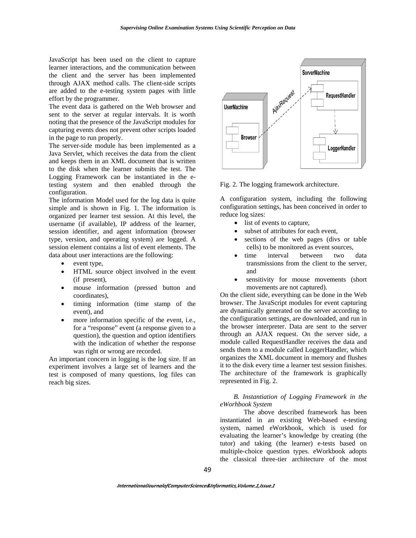JavaScript has been used on the client to capture learner interactions, and the communication between the client and the server has been implemented through AJAX method calls. The client-side scripts are added to the e-testing system pages with little effort by the programmer.

The event data is gathered on the Web browser and sent to the server at regular intervals. It is worth noting that the presence of the JavaScript modules for capturing events does not prevent other scripts loaded in the page to run properly.

The server-side module has been implemented as a Java Servlet, which receives the data from the client and keeps them in an XML document that is written to the disk when the learner submits the test. The Logging Framework can be instantiated in the etesting system and then enabled through the configuration.

The information Model used for the log data is quite simple and is shown in Fig. 1. The information is organized per learner test session. At this level, the username (if available), IP address of the learner, session identifier, and agent information (browser type, version, and operating system) are logged. A session element contains a list of event elements. The data about user interactions are the following:

- event type,
- HTML source object involved in the event (if present),
- mouse information (pressed button and coordinates),
- timing information (time stamp of the event), and
- more information specific of the event, i.e., for a "response" event (a response given to a question), the question and option identifiers with the indication of whether the response was right or wrong are recorded.

An important concern in logging is the log size. If an experiment involves a large set of learners and the test is composed of many questions, log files can reach big sizes.



Fig. 2. The logging framework architecture.

A configuration system, including the following configuration settings, has been conceived in order to reduce log sizes:

- list of events to capture,
- subset of attributes for each event,
- sections of the web pages (divs or table cells) to be monitored as event sources,
- time interval between two data transmissions from the client to the server, and
- sensitivity for mouse movements (short movements are not captured).

On the client side, everything can be done in the Web browser. The JavaScript modules for event capturing are dynamically generated on the server according to the configuration settings, are downloaded, and run in the browser interpreter. Data are sent to the server through an AJAX request. On the server side, a module called RequestHandler receives the data and sends them to a module called LoggerHandler, which organizes the XML document in memory and flushes it to the disk every time a learner test session finishes. The architecture of the framework is graphically represented in Fig. 2.

 *B. Instantiation of Logging Framework in the eWorhbook System* 

 The above described framework has been instantiated in an existing Web-based e-testing system, named eWorkbook, which is used for evaluating the learner's knowledge by creating (the tutor) and taking (the learner) e-tests based on multiple-choice question types. eWorkbook adopts the classical three-tier architecture of the most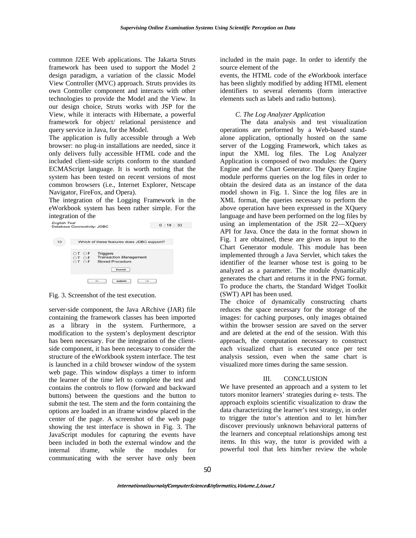common J2EE Web applications. The Jakarta Struts framework has been used to support the Model 2 design paradigm, a variation of the classic Model View Controller (MVC) approach. Struts provides its own Controller component and interacts with other technologies to provide the Model and the View. In our design choice, Struts works with JSP for the View, while it interacts with Hibernate, a powerful framework for object/ relational persistence and query service in Java, for the Model.

The application is fully accessible through a Web browser: no plug-in installations are needed, since it only delivers fully accessible HTML code and the included client-side scripts conform to the standard ECMAScript language. It is worth noting that the system has been tested on recent versions of most common browsers (i.e., Internet Explorer, Netscape Navigator, FireFox, and Opera).

The integration of the Logging Framework in the eWorkbook system has been rather simple. For the



Fig. 3. Screenshot of the test execution.

server-side component, the Java ARchive (JAR) file containing the framework classes has been imported as a library in the system. Furthermore, a modification to the system's deployment descriptor has been necessary. For the integration of the clientside component, it has been necessary to consider the structure of the eWorkbook system interface. The test is launched in a child browser window of the system web page. This window displays a timer to inform the learner of the time left to complete the test and contains the controls to flow (forward and backward buttons) between the questions and the button to submit the test. The stem and the form containing the options are loaded in an iframe window placed in the center of the page. A screenshot of the web page showing the test interface is shown in Fig. 3. The JavaScript modules for capturing the events have been included in both the external window and the internal iframe, while the modules for communicating with the server have only been

included in the main page. In order to identify the source element of the

events, the HTML code of the eWorkbook interface has been slightly modified by adding HTML element identifiers to several elements (form interactive elements such as labels and radio buttons).

#### *C. The Log Analyzer Application*

 The data analysis and test visualization operations are performed by a Web-based standalone application, optionally hosted on the same server of the Logging Framework, which takes as input the XML log files. The Log Analyzer Application is composed of two modules: the Query Engine and the Chart Generator. The Query Engine module performs queries on the log files in order to obtain the desired data as an instance of the data model shown in Fig. 1. Since the log files are in XML format, the queries necessary to perform the above operation have been expressed in the XQuery language and have been performed on the log files by using an implementation of the JSR 22—XQuery API for Java. Once the data in the format shown in Fig. 1 are obtained, these are given as input to the Chart Generator module. This module has been implemented through a Java Servlet, which takes the identifier of the learner whose test is going to be analyzed as a parameter. The module dynamically generates the chart and returns it in the PNG format. To produce the charts, the Standard Widget Toolkit (SWT) API has been used.

The choice of dynamically constructing charts reduces the space necessary for the storage of the images: for caching purposes, only images obtained within the browser session are saved on the server and are deleted at the end of the session. With this approach, the computation necessary to construct each visualized chart is executed once per test analysis session, even when the same chart is visualized more times during the same session.

#### III. CONCLUSION

We have presented an approach and a system to let tutors monitor learners' strategies during e- tests. The approach exploits scientific visualization to draw the data characterizing the learner's test strategy, in order to trigger the tutor's attention and to let him/her discover previously unknown behavioral patterns of the learners and conceptual relationships among test items. In this way, the tutor is provided with a powerful tool that lets him/her review the whole